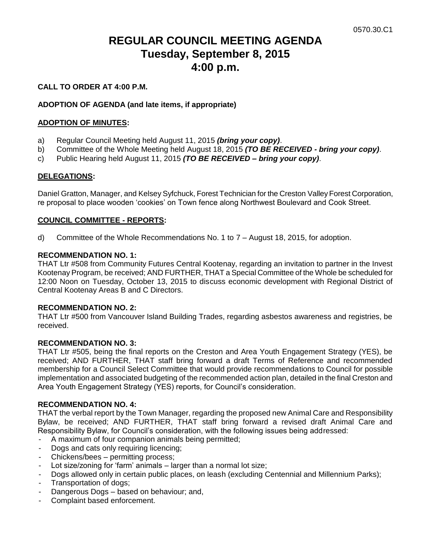# **REGULAR COUNCIL MEETING AGENDA Tuesday, September 8, 2015 4:00 p.m.**

# **CALL TO ORDER AT 4:00 P.M.**

# **ADOPTION OF AGENDA (and late items, if appropriate)**

# **ADOPTION OF MINUTES:**

- a) Regular Council Meeting held August 11, 2015 *(bring your copy)*.
- b) Committee of the Whole Meeting held August 18, 2015 *(TO BE RECEIVED - bring your copy)*.
- c) Public Hearing held August 11, 2015 *(TO BE RECEIVED – bring your copy)*.

### **DELEGATIONS:**

Daniel Gratton, Manager, and Kelsey Syfchuck, Forest Technician for the Creston Valley Forest Corporation, re proposal to place wooden 'cookies' on Town fence along Northwest Boulevard and Cook Street.

### **COUNCIL COMMITTEE - REPORTS:**

d) Committee of the Whole Recommendations No. 1 to 7 – August 18, 2015, for adoption.

#### **RECOMMENDATION NO. 1:**

THAT Ltr #508 from Community Futures Central Kootenay, regarding an invitation to partner in the Invest Kootenay Program, be received; AND FURTHER, THAT a Special Committee of the Whole be scheduled for 12:00 Noon on Tuesday, October 13, 2015 to discuss economic development with Regional District of Central Kootenay Areas B and C Directors.

#### **RECOMMENDATION NO. 2:**

THAT Ltr #500 from Vancouver Island Building Trades, regarding asbestos awareness and registries, be received.

#### **RECOMMENDATION NO. 3:**

THAT Ltr #505, being the final reports on the Creston and Area Youth Engagement Strategy (YES), be received; AND FURTHER, THAT staff bring forward a draft Terms of Reference and recommended membership for a Council Select Committee that would provide recommendations to Council for possible implementation and associated budgeting of the recommended action plan, detailed in the final Creston and Area Youth Engagement Strategy (YES) reports, for Council's consideration.

# **RECOMMENDATION NO. 4:**

THAT the verbal report by the Town Manager, regarding the proposed new Animal Care and Responsibility Bylaw, be received; AND FURTHER, THAT staff bring forward a revised draft Animal Care and Responsibility Bylaw, for Council's consideration, with the following issues being addressed:

- A maximum of four companion animals being permitted;
- Dogs and cats only requiring licencing;
- Chickens/bees permitting process;
- Lot size/zoning for 'farm' animals larger than a normal lot size;
- Dogs allowed only in certain public places, on leash (excluding Centennial and Millennium Parks);
- Transportation of dogs;
- Dangerous Dogs based on behaviour; and,
- Complaint based enforcement.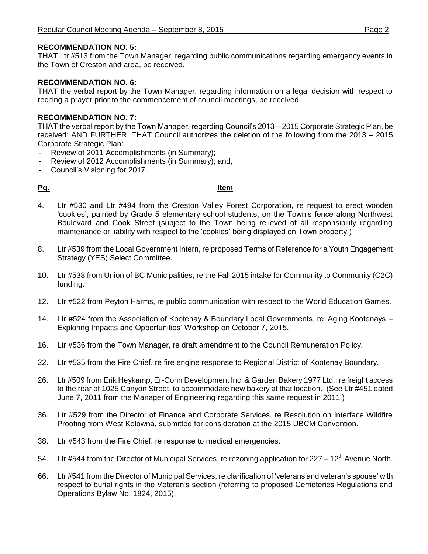# **RECOMMENDATION NO. 5:**

THAT Ltr #513 from the Town Manager, regarding public communications regarding emergency events in the Town of Creston and area, be received.

#### **RECOMMENDATION NO. 6:**

THAT the verbal report by the Town Manager, regarding information on a legal decision with respect to reciting a prayer prior to the commencement of council meetings, be received.

### **RECOMMENDATION NO. 7:**

THAT the verbal report by the Town Manager, regarding Council's 2013 – 2015 Corporate Strategic Plan, be received; AND FURTHER, THAT Council authorizes the deletion of the following from the 2013 – 2015 Corporate Strategic Plan:

- Review of 2011 Accomplishments (in Summary);
- Review of 2012 Accomplishments (in Summary); and,
- Council's Visioning for 2017.

#### **Pg. Item**

- 4. Ltr #530 and Ltr #494 from the Creston Valley Forest Corporation, re request to erect wooden 'cookies', painted by Grade 5 elementary school students, on the Town's fence along Northwest Boulevard and Cook Street (subject to the Town being relieved of all responsibility regarding maintenance or liability with respect to the 'cookies' being displayed on Town property.)
- 8. Ltr #539 from the Local Government Intern, re proposed Terms of Reference for a Youth Engagement Strategy (YES) Select Committee.
- 10. Ltr #538 from Union of BC Municipalities, re the Fall 2015 intake for Community to Community (C2C) funding.
- 12. Ltr #522 from Peyton Harms, re public communication with respect to the World Education Games.
- 14. Ltr #524 from the Association of Kootenay & Boundary Local Governments, re 'Aging Kootenays Exploring Impacts and Opportunities' Workshop on October 7, 2015.
- 16. Ltr #536 from the Town Manager, re draft amendment to the Council Remuneration Policy.
- 22. Ltr #535 from the Fire Chief, re fire engine response to Regional District of Kootenay Boundary.
- 26. Ltr #509 from Erik Heykamp, Er-Conn Development Inc. & Garden Bakery 1977 Ltd., re freight access to the rear of 1025 Canyon Street, to accommodate new bakery at that location. (See Ltr #451 dated June 7, 2011 from the Manager of Engineering regarding this same request in 2011.)
- 36. Ltr #529 from the Director of Finance and Corporate Services, re Resolution on Interface Wildfire Proofing from West Kelowna, submitted for consideration at the 2015 UBCM Convention.
- 38. Ltr #543 from the Fire Chief, re response to medical emergencies.
- 54. Ltr #544 from the Director of Municipal Services, re rezoning application for  $227 12<sup>th</sup>$  Avenue North.
- 66. Ltr #541 from the Director of Municipal Services, re clarification of 'veterans and veteran's spouse' with respect to burial rights in the Veteran's section (referring to proposed Cemeteries Regulations and Operations Bylaw No. 1824, 2015).